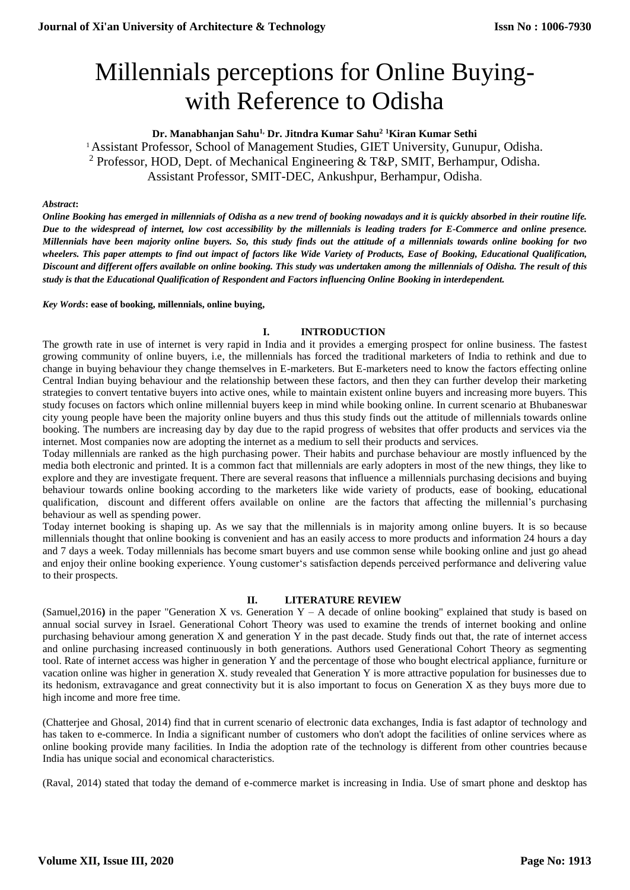# Millennials perceptions for Online Buyingwith Reference to Odisha

# **Dr. Manabhanjan Sahu1, Dr. Jitndra Kumar Sahu<sup>2</sup> <sup>1</sup>Kiran Kumar Sethi**

<sup>1</sup>Assistant Professor, School of Management Studies, GIET University, Gunupur, Odisha. <sup>2</sup> Professor, HOD, Dept. of Mechanical Engineering & T&P, SMIT, Berhampur, Odisha. Assistant Professor, SMIT-DEC, Ankushpur, Berhampur, Odisha.

#### *Abstract***:**

*Online Booking has emerged in millennials of Odisha as a new trend of booking nowadays and it is quickly absorbed in their routine life. Due to the widespread of internet, low cost accessibility by the millennials is leading traders for E-Commerce and online presence. Millennials have been majority online buyers. So, this study finds out the attitude of a millennials towards online booking for two wheelers. This paper attempts to find out impact of factors like Wide Variety of Products, Ease of Booking, Educational Qualification, Discount and different offers available on online booking. This study was undertaken among the millennials of Odisha. The result of this study is that the Educational Qualification of Respondent and Factors influencing Online Booking in interdependent.*

#### *Key Words***: ease of booking, millennials, online buying,**

## **I. INTRODUCTION**

The growth rate in use of internet is very rapid in India and it provides a emerging prospect for online business. The fastest growing community of online buyers, i.e, the millennials has forced the traditional marketers of India to rethink and due to change in buying behaviour they change themselves in E-marketers. But E-marketers need to know the factors effecting online Central Indian buying behaviour and the relationship between these factors, and then they can further develop their marketing strategies to convert tentative buyers into active ones, while to maintain existent online buyers and increasing more buyers. This study focuses on factors which online millennial buyers keep in mind while booking online. In current scenario at Bhubaneswar city young people have been the majority online buyers and thus this study finds out the attitude of millennials towards online booking. The numbers are increasing day by day due to the rapid progress of websites that offer products and services via the internet. Most companies now are adopting the internet as a medium to sell their products and services.

Today millennials are ranked as the high purchasing power. Their habits and purchase behaviour are mostly influenced by the media both electronic and printed. It is a common fact that millennials are early adopters in most of the new things, they like to explore and they are investigate frequent. There are several reasons that influence a millennials purchasing decisions and buying behaviour towards online booking according to the marketers like wide variety of products, ease of booking, educational qualification, discount and different offers available on online are the factors that affecting the millennial's purchasing behaviour as well as spending power.

Today internet booking is shaping up. As we say that the millennials is in majority among online buyers. It is so because millennials thought that online booking is convenient and has an easily access to more products and information 24 hours a day and 7 days a week. Today millennials has become smart buyers and use common sense while booking online and just go ahead and enjoy their online booking experience. Young customer's satisfaction depends perceived performance and delivering value to their prospects.

## **II. LITERATURE REVIEW**

(Samuel,2016**)** in the paper "Generation X vs. Generation Y – A decade of online booking" explained that study is based on annual social survey in Israel. Generational Cohort Theory was used to examine the trends of internet booking and online purchasing behaviour among generation X and generation Y in the past decade. Study finds out that, the rate of internet access and online purchasing increased continuously in both generations. Authors used Generational Cohort Theory as segmenting tool. Rate of internet access was higher in generation Y and the percentage of those who bought electrical appliance, furniture or vacation online was higher in generation X. study revealed that Generation Y is more attractive population for businesses due to its hedonism, extravagance and great connectivity but it is also important to focus on Generation X as they buys more due to high income and more free time.

(Chatterjee and Ghosal, 2014) find that in current scenario of electronic data exchanges, India is fast adaptor of technology and has taken to e-commerce. In India a significant number of customers who don't adopt the facilities of online services where as online booking provide many facilities. In India the adoption rate of the technology is different from other countries because India has unique social and economical characteristics.

(Raval, 2014) stated that today the demand of e-commerce market is increasing in India. Use of smart phone and desktop has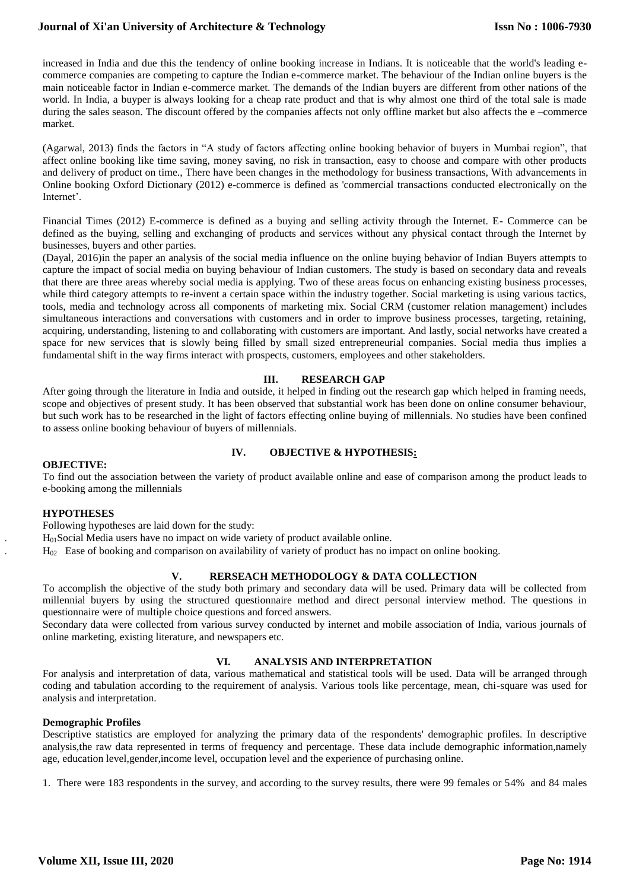## **Journal of Xi'an University of Architecture & Technology**

increased in India and due this the tendency of online booking increase in Indians. It is noticeable that the world's leading ecommerce companies are competing to capture the Indian e-commerce market. The behaviour of the Indian online buyers is the main noticeable factor in Indian e-commerce market. The demands of the Indian buyers are different from other nations of the world. In India, a buyper is always looking for a cheap rate product and that is why almost one third of the total sale is made during the sales season. The discount offered by the companies affects not only offline market but also affects the e –commerce market.

(Agarwal, 2013) finds the factors in "A study of factors affecting online booking behavior of buyers in Mumbai region", that affect online booking like time saving, money saving, no risk in transaction, easy to choose and compare with other products and delivery of product on time., There have been changes in the methodology for business transactions, With advancements in Online booking Oxford Dictionary (2012) e-commerce is defined as 'commercial transactions conducted electronically on the Internet'.

Financial Times (2012) E-commerce is defined as a buying and selling activity through the Internet. E- Commerce can be defined as the buying, selling and exchanging of products and services without any physical contact through the Internet by businesses, buyers and other parties.

(Dayal, 2016)in the paper an analysis of the social media influence on the online buying behavior of Indian Buyers attempts to capture the impact of social media on buying behaviour of Indian customers. The study is based on secondary data and reveals that there are three areas whereby social media is applying. Two of these areas focus on enhancing existing business processes, while third category attempts to re-invent a certain space within the industry together. Social marketing is using various tactics, tools, media and technology across all components of marketing mix. Social CRM (customer relation management) includes simultaneous interactions and conversations with customers and in order to improve business processes, targeting, retaining, acquiring, understanding, listening to and collaborating with customers are important. And lastly, social networks have created a space for new services that is slowly being filled by small sized entrepreneurial companies. Social media thus implies a fundamental shift in the way firms interact with prospects, customers, employees and other stakeholders.

## **III. RESEARCH GAP**

After going through the literature in India and outside, it helped in finding out the research gap which helped in framing needs, scope and objectives of present study. It has been observed that substantial work has been done on online consumer behaviour, but such work has to be researched in the light of factors effecting online buying of millennials. No studies have been confined to assess online booking behaviour of buyers of millennials.

## **IV. OBJECTIVE & HYPOTHESIS:**

#### **OBJECTIVE:**

To find out the association between the variety of product available online and ease of comparison among the product leads to e-booking among the millennials

#### **HYPOTHESES**

Following hypotheses are laid down for the study:

 $H<sub>01</sub>$ Social Media users have no impact on wide variety of product available online.

H<sup>02</sup> Ease of booking and comparison on availability of variety of product has no impact on online booking.

## **V. RERSEACH METHODOLOGY & DATA COLLECTION**

To accomplish the objective of the study both primary and secondary data will be used. Primary data will be collected from millennial buyers by using the structured questionnaire method and direct personal interview method. The questions in questionnaire were of multiple choice questions and forced answers.

Secondary data were collected from various survey conducted by internet and mobile association of India, various journals of online marketing, existing literature, and newspapers etc.

#### **VI. ANALYSIS AND INTERPRETATION**

For analysis and interpretation of data, various mathematical and statistical tools will be used. Data will be arranged through coding and tabulation according to the requirement of analysis. Various tools like percentage, mean, chi-square was used for analysis and interpretation.

## **Demographic Profiles**

Descriptive statistics are employed for analyzing the primary data of the respondents' demographic profiles. In descriptive analysis,the raw data represented in terms of frequency and percentage. These data include demographic information,namely age, education level,gender,income level, occupation level and the experience of purchasing online.

1. There were 183 respondents in the survey, and according to the survey results, there were 99 females or 54% and 84 males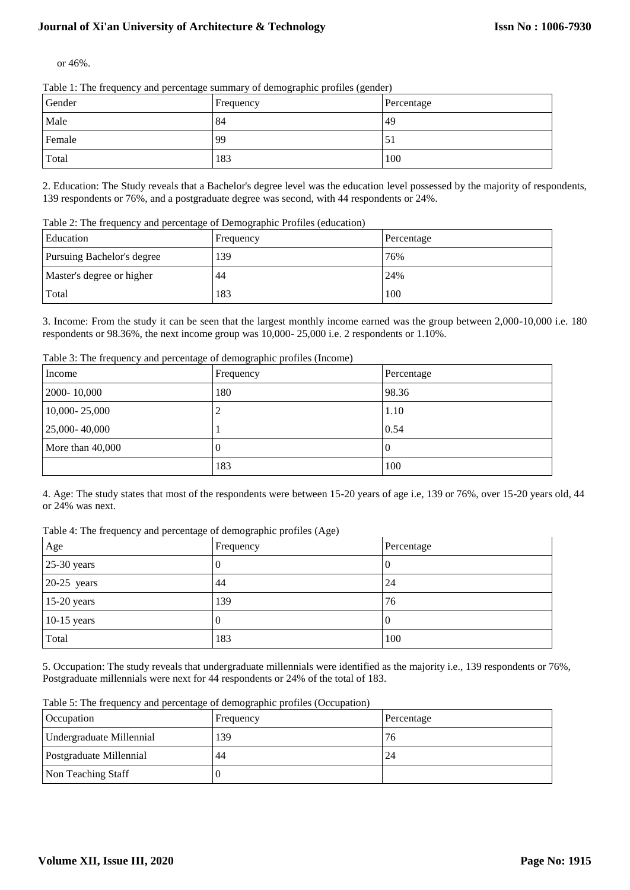# **Journal of Xi'an University of Architecture & Technology**

or 46%.

Table 1: The frequency and percentage summary of demographic profiles (gender)

| Gender | Frequency | Percentage |
|--------|-----------|------------|
| Male   | 84        | 49         |
| Female | -99       | . ح        |
| Total  | 183       | 100        |

2. Education: The Study reveals that a Bachelor's degree level was the education level possessed by the majority of respondents, 139 respondents or 76%, and a postgraduate degree was second, with 44 respondents or 24%.

Table 2: The frequency and percentage of Demographic Profiles (education)

| Education                  | Frequency | Percentage |
|----------------------------|-----------|------------|
| Pursuing Bachelor's degree | 139       | 76%        |
| Master's degree or higher  | 44        | 24%        |
| Total                      | 183       | 100        |

3. Income: From the study it can be seen that the largest monthly income earned was the group between 2,000-10,000 i.e. 180 respondents or 98.36%, the next income group was 10,000- 25,000 i.e. 2 respondents or 1.10%.

Table 3: The frequency and percentage of demographic profiles (Income)

| . .<br>ັ<br>Income | $\sim$ 1 1<br>Frequency | Percentage |
|--------------------|-------------------------|------------|
| 2000-10,000        | 180                     | 98.36      |
| 10,000-25,000      | ∠                       | 1.10       |
| 25,000-40,000      |                         | 0.54       |
| More than $40,000$ | v                       | l 0        |
|                    | 183                     | 100        |

4. Age: The study states that most of the respondents were between 15-20 years of age i.e, 139 or 76%, over 15-20 years old, 44 or 24% was next.

Table 4: The frequency and percentage of demographic profiles (Age)

| Age           | Frequency | Percentage |
|---------------|-----------|------------|
| $25-30$ years | O         | U          |
| $20-25$ years | 44        | 24         |
| $15-20$ years | 139       | 76         |
| $10-15$ years | O         | U          |
| Total         | 183       | 100        |

5. Occupation: The study reveals that undergraduate millennials were identified as the majority i.e., 139 respondents or 76%, Postgraduate millennials were next for 44 respondents or 24% of the total of 183.

Table 5: The frequency and percentage of demographic profiles (Occupation)

| Occupation               | Frequency | Percentage |
|--------------------------|-----------|------------|
| Undergraduate Millennial | 139       | 76         |
| Postgraduate Millennial  | 44        | 24         |
| Non Teaching Staff       |           |            |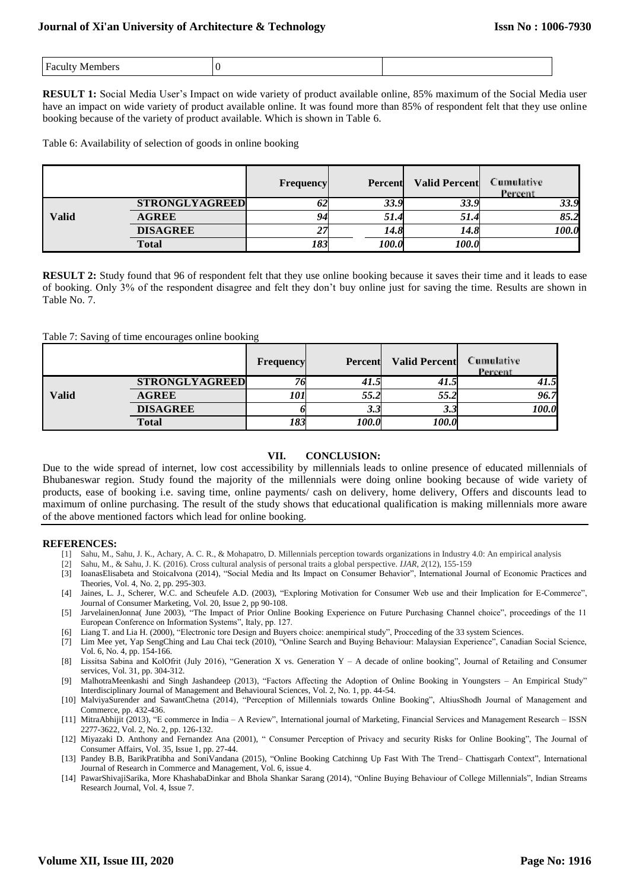|  | ' Fo |  |  |
|--|------|--|--|
|--|------|--|--|

**RESULT 1:** Social Media User's Impact on wide variety of product available online, 85% maximum of the Social Media user have an impact on wide variety of product available online. It was found more than 85% of respondent felt that they use online booking because of the variety of product available. Which is shown in Table 6.

Table 6: Availability of selection of goods in online booking

|       |                       | <b>Frequency</b> | Percent | <b>Valid Percent</b> | <b>Cumulative</b><br>Percent |
|-------|-----------------------|------------------|---------|----------------------|------------------------------|
|       | <b>STRONGLYAGREED</b> | 0Z               | 33.9    | 33.9                 | 33.9                         |
| Valid | <b>AGREE</b>          | 94               | 51.4    | 51.4                 | 85.2                         |
|       | <b>DISAGREE</b>       | 27               | 14.8    | 14.8                 | 100.0                        |
|       | <b>Total</b>          | 183              | 100.0   | 100.0                |                              |

**RESULT 2:** Study found that 96 of respondent felt that they use online booking because it saves their time and it leads to ease of booking. Only 3% of the respondent disagree and felt they don't buy online just for saving the time. Results are shown in Table No. 7.

#### Table 7: Saving of time encourages online booking

|              |                       | Frequency | Percent             | <b>Valid Percent</b> | <b>Cumulative</b><br>Percent |
|--------------|-----------------------|-----------|---------------------|----------------------|------------------------------|
|              | <b>STRONGLYAGREED</b> |           | 41.5                | 41.5                 | 41.5                         |
| <b>Valid</b> | <b>AGREE</b>          | 101       | 55.2                | 55.2                 | 96.7                         |
|              | <b>DISAGREE</b>       |           | J.J                 | J.J                  | 100.0                        |
|              | <b>Total</b>          | 183       | <i><b>100.0</b></i> | 100.0                |                              |

## **VII. CONCLUSION:**

Due to the wide spread of internet, low cost accessibility by millennials leads to online presence of educated millennials of Bhubaneswar region. Study found the majority of the millennials were doing online booking because of wide variety of products, ease of booking i.e. saving time, online payments/ cash on delivery, home delivery, Offers and discounts lead to maximum of online purchasing. The result of the study shows that educational qualification is making millennials more aware of the above mentioned factors which lead for online booking.

#### **REFERENCES:**

- [1] Sahu, M., Sahu, J. K., Achary, A. C. R., & Mohapatro, D. Millennials perception towards organizations in Industry 4.0: An empirical analysis
- [2] Sahu, M., & Sahu, J. K. (2016). Cross cultural analysis of personal traits a global perspective. *IJAR*, *2*(12), 155-159
- [3] IoanasElisabeta and StoicaIvona (2014), "Social Media and Its Impact on Consumer Behavior", International Journal of Economic Practices and Theories, Vol. 4, No. 2, pp. 295-303.
- [4] Jaines, L. J., Scherer, W.C. and Scheufele A.D. (2003), "Exploring Motivation for Consumer Web use and their Implication for E-Commerce", Journal of Consumer Marketing, Vol. 20, Issue 2, pp 90-108.
- [5] JarvelainenJonna( June 2003), "The Impact of Prior Online Booking Experience on Future Purchasing Channel choice", proceedings of the 11 European Conference on Information Systems", Italy, pp. 127.
- [6] Liang T. and Lia H. (2000), "Electronic tore Design and Buyers choice: anempirical study", Procceding of the 33 system Sciences.
- [7] Lim Mee yet, Yap SengChing and Lau Chai teck (2010), "Online Search and Buying Behaviour: Malaysian Experience", Canadian Social Science, Vol. 6, No. 4, pp. 154-166.
- [8] Lissitsa Sabina and KolOfrit (July 2016), "Generation X vs. Generation Y A decade of online booking", Journal of Retailing and Consumer services, Vol. 31, pp. 304-312.
- [9] MalhotraMeenkashi and Singh Jashandeep (2013), "Factors Affecting the Adoption of Online Booking in Youngsters An Empirical Study" Interdisciplinary Journal of Management and Behavioural Sciences, Vol. 2, No. 1, pp. 44-54.
- [10] MalviyaSurender and SawantChetna (2014), "Perception of Millennials towards Online Booking", AltiusShodh Journal of Management and Commerce, pp. 432-436.
- [11] MitraAbhijit (2013), "E commerce in India A Review", International journal of Marketing, Financial Services and Management Research ISSN 2277-3622, Vol. 2, No. 2, pp. 126-132.
- [12] Miyazaki D. Anthony and Fernandez Ana (2001), " Consumer Perception of Privacy and security Risks for Online Booking", The Journal of Consumer Affairs, Vol. 35, Issue 1, pp. 27-44.
- [13] Pandey B.B, BarikPratibha and SoniVandana (2015), "Online Booking Catchinng Up Fast With The Trend– Chattisgarh Context", International Journal of Research in Commerce and Management, Vol. 6, issue 4.
- [14] PawarShivajiSarika, More KhashabaDinkar and Bhola Shankar Sarang (2014), "Online Buying Behaviour of College Millennials", Indian Streams Research Journal, Vol. 4, Issue 7.